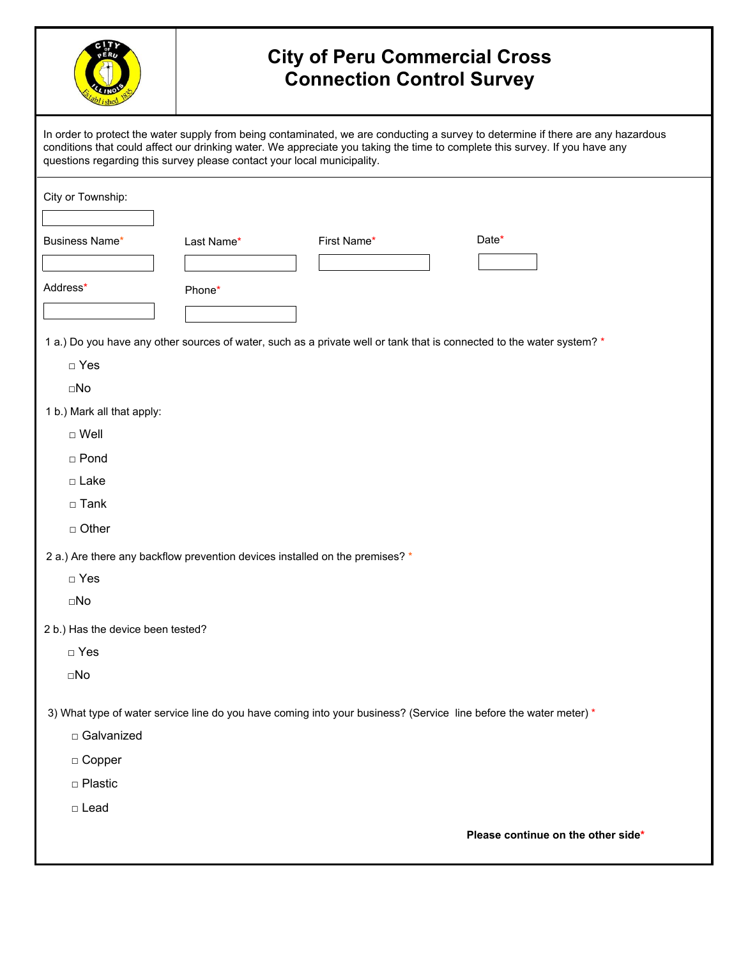

## **City of Peru Commercial Cross Connection Control Survey**

| questions regarding this survey please contact your local municipality. |                                                                              | conditions that could affect our drinking water. We appreciate you taking the time to complete this survey. If you have any | In order to protect the water supply from being contaminated, we are conducting a survey to determine if there are any hazardous |
|-------------------------------------------------------------------------|------------------------------------------------------------------------------|-----------------------------------------------------------------------------------------------------------------------------|----------------------------------------------------------------------------------------------------------------------------------|
| City or Township:                                                       |                                                                              |                                                                                                                             |                                                                                                                                  |
|                                                                         |                                                                              |                                                                                                                             |                                                                                                                                  |
| Business Name*                                                          | Last Name*                                                                   | First Name*                                                                                                                 | Date*                                                                                                                            |
|                                                                         |                                                                              |                                                                                                                             |                                                                                                                                  |
| Address*                                                                | Phone*                                                                       |                                                                                                                             |                                                                                                                                  |
|                                                                         |                                                                              |                                                                                                                             |                                                                                                                                  |
|                                                                         |                                                                              | 1 a.) Do you have any other sources of water, such as a private well or tank that is connected to the water system? *       |                                                                                                                                  |
| $\Box$ Yes                                                              |                                                                              |                                                                                                                             |                                                                                                                                  |
| $\square$ No                                                            |                                                                              |                                                                                                                             |                                                                                                                                  |
| 1 b.) Mark all that apply:                                              |                                                                              |                                                                                                                             |                                                                                                                                  |
| □ Well                                                                  |                                                                              |                                                                                                                             |                                                                                                                                  |
| □ Pond                                                                  |                                                                              |                                                                                                                             |                                                                                                                                  |
| $\square$ Lake                                                          |                                                                              |                                                                                                                             |                                                                                                                                  |
| $\Box$ Tank                                                             |                                                                              |                                                                                                                             |                                                                                                                                  |
| $\Box$ Other                                                            |                                                                              |                                                                                                                             |                                                                                                                                  |
|                                                                         | 2 a.) Are there any backflow prevention devices installed on the premises? * |                                                                                                                             |                                                                                                                                  |
| $\Box$ Yes                                                              |                                                                              |                                                                                                                             |                                                                                                                                  |
| $\square$ No                                                            |                                                                              |                                                                                                                             |                                                                                                                                  |
| 2 b.) Has the device been tested?                                       |                                                                              |                                                                                                                             |                                                                                                                                  |
| $\Box$ Yes                                                              |                                                                              |                                                                                                                             |                                                                                                                                  |
| $\square$ No                                                            |                                                                              |                                                                                                                             |                                                                                                                                  |
|                                                                         |                                                                              | 3) What type of water service line do you have coming into your business? (Service line before the water meter) *           |                                                                                                                                  |
| □ Galvanized                                                            |                                                                              |                                                                                                                             |                                                                                                                                  |
| $\Box$ Copper                                                           |                                                                              |                                                                                                                             |                                                                                                                                  |
| □ Plastic                                                               |                                                                              |                                                                                                                             |                                                                                                                                  |
| □ Lead                                                                  |                                                                              |                                                                                                                             |                                                                                                                                  |
|                                                                         |                                                                              |                                                                                                                             | Please continue on the other side*                                                                                               |